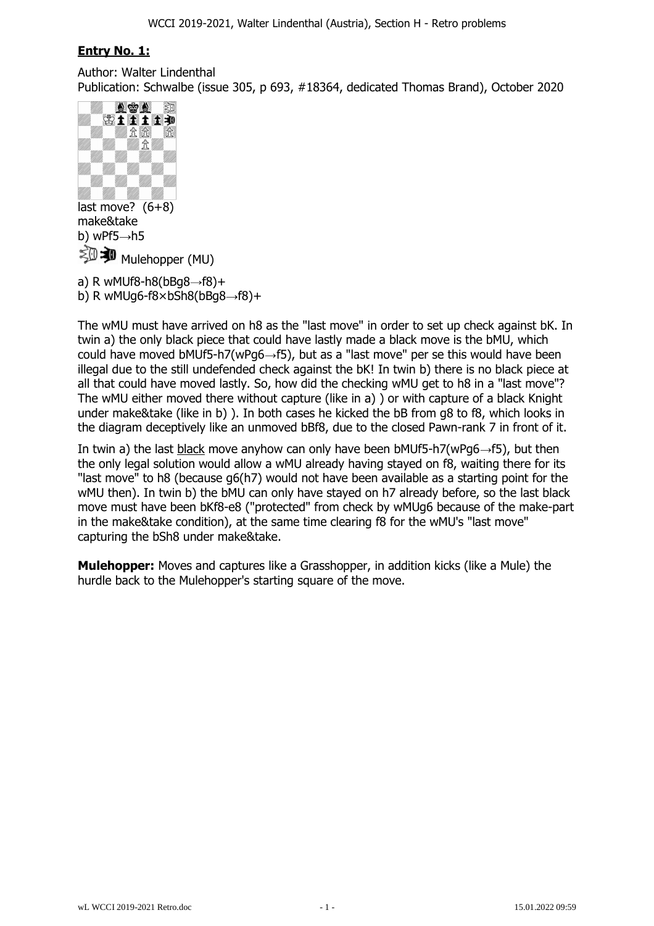# **Entry No. 1:**

Author: Walter Lindenthal Publication: Schwalbe (issue 305, p 693, #18364, dedicated Thomas Brand), October 2020



last move?  $(6+8)$ make&take b) wPf $5 \rightarrow h5$  $\mathbb{Z}^{\mathbb{Z}}$  Mulehopper (MU)

a) R wMUf8-h8( $bBg8 \rightarrow f8$ )+ b) R wMUg6-f8 $\times$ bSh8(bBg8 $\rightarrow$ f8)+

The wMU must have arrived on h8 as the "last move" in order to set up check against bK. In twin a) the only black piece that could have lastly made a black move is the bMU, which could have moved bMUf5-h7(wPq6 $\rightarrow$ f5), but as a "last move" per se this would have been illegal due to the still undefended check against the bK! In twin b) there is no black piece at all that could have moved lastly. So, how did the checking wMU get to h8 in a "last move"? The wMU either moved there without capture (like in a) ) or with capture of a black Knight under make&take (like in b) ). In both cases he kicked the bB from g8 to f8, which looks in the diagram deceptively like an unmoved bBf8, due to the closed Pawn-rank 7 in front of it.

In twin a) the last black move anyhow can only have been bMUf5-h7(wPg6 $\rightarrow$ f5), but then the only legal solution would allow a wMU already having stayed on f8, waiting there for its "last move" to h8 (because g6(h7) would not have been available as a starting point for the wMU then). In twin b) the bMU can only have stayed on h7 already before, so the last black move must have been bKf8-e8 ("protected" from check by wMUg6 because of the make-part in the make&take condition), at the same time clearing f8 for the wMU's "last move" capturing the bSh8 under make&take.

**Mulehopper:** Moves and captures like a Grasshopper, in addition kicks (like a Mule) the hurdle back to the Mulehopper's starting square of the move.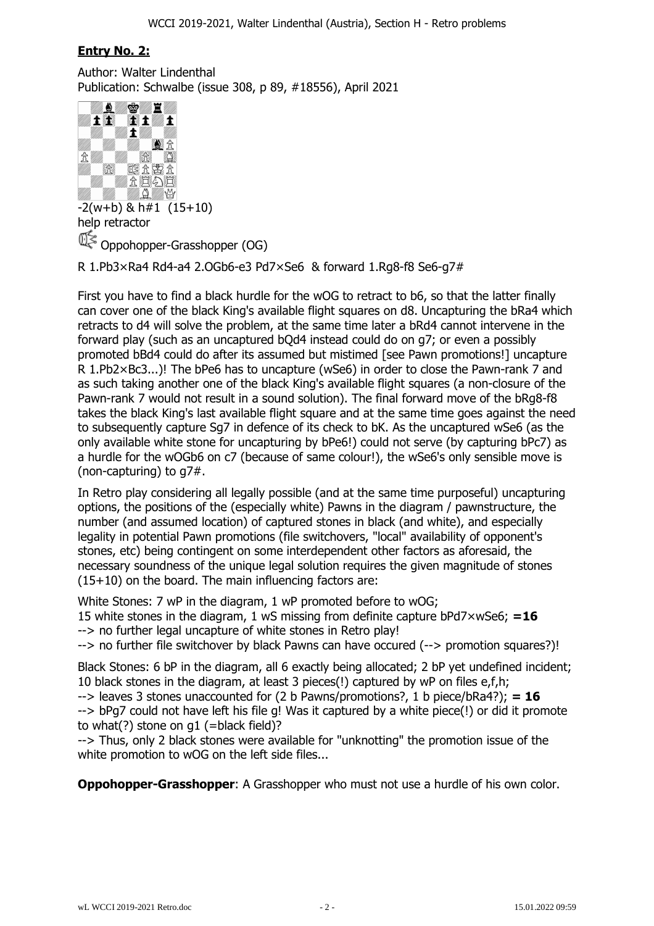## **Entry No. 2:**

Author: Walter Lindenthal Publication: Schwalbe (issue 308, p 89, #18556), April 2021



 $-2(w+b)$  & h#1  $(15+10)$ help retractor Oppohopper-Grasshopper (OG)

R 1.Pb3×Ra4 Rd4-a4 2.OGb6-e3 Pd7×Se6 & forward 1.Rg8-f8 Se6-g7#

First you have to find a black hurdle for the wOG to retract to b6, so that the latter finally can cover one of the black King's available flight squares on d8. Uncapturing the bRa4 which retracts to d4 will solve the problem, at the same time later a bRd4 cannot intervene in the forward play (such as an uncaptured bQd4 instead could do on g7; or even a possibly promoted bBd4 could do after its assumed but mistimed [see Pawn promotions!] uncapture R 1.Pb2×Bc3...)! The bPe6 has to uncapture (wSe6) in order to close the Pawn-rank 7 and as such taking another one of the black King's available flight squares (a non-closure of the Pawn-rank 7 would not result in a sound solution). The final forward move of the bRg8-f8 takes the black King's last available flight square and at the same time goes against the need to subsequently capture Sg7 in defence of its check to bK. As the uncaptured wSe6 (as the only available white stone for uncapturing by bPe6!) could not serve (by capturing bPc7) as a hurdle for the wOGb6 on c7 (because of same colour!), the wSe6's only sensible move is (non-capturing) to g7#.

In Retro play considering all legally possible (and at the same time purposeful) uncapturing options, the positions of the (especially white) Pawns in the diagram / pawnstructure, the number (and assumed location) of captured stones in black (and white), and especially legality in potential Pawn promotions (file switchovers, "local" availability of opponent's stones, etc) being contingent on some interdependent other factors as aforesaid, the necessary soundness of the unique legal solution requires the given magnitude of stones (15+10) on the board. The main influencing factors are:

White Stones: 7 wP in the diagram, 1 wP promoted before to wOG; 15 white stones in the diagram, 1 wS missing from definite capture bPd7×wSe6; **=16** --> no further legal uncapture of white stones in Retro play! --> no further file switchover by black Pawns can have occured (--> promotion squares?)!

Black Stones: 6 bP in the diagram, all 6 exactly being allocated; 2 bP yet undefined incident; 10 black stones in the diagram, at least 3 pieces(!) captured by wP on files e,f,h; --> leaves 3 stones unaccounted for (2 b Pawns/promotions?, 1 b piece/bRa4?); **= 16** --> bPg7 could not have left his file g! Was it captured by a white piece(!) or did it promote to what $(?)$  stone on q1 (=black field)?

--> Thus, only 2 black stones were available for "unknotting" the promotion issue of the white promotion to wOG on the left side files...

**Oppohopper-Grasshopper:** A Grasshopper who must not use a hurdle of his own color.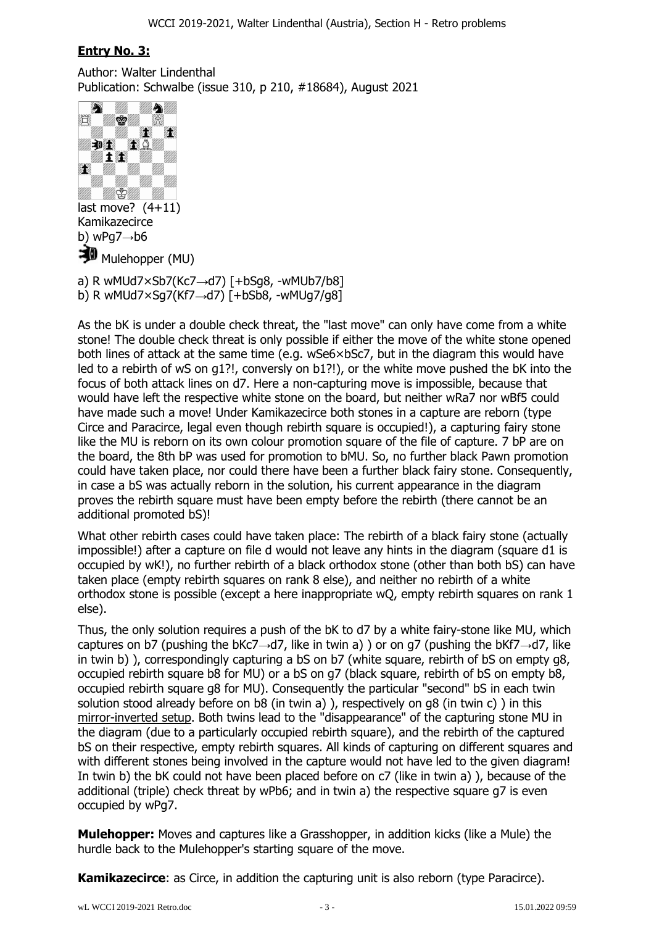## **Entry No. 3:**

Author: Walter Lindenthal Publication: Schwalbe (issue 310, p 210, #18684), August 2021



a) R wMUd7 $\times$ Sb7(Kc7 $\rightarrow$ d7) [+bSg8, -wMUb7/b8]

b) R wMUd7 $\times$ Sq7(Kf7 $\rightarrow$ d7) [+bSb8, -wMUq7/q8]

As the bK is under a double check threat, the "last move" can only have come from a white stone! The double check threat is only possible if either the move of the white stone opened both lines of attack at the same time (e.g. wSe6×bSc7, but in the diagram this would have led to a rebirth of wS on g1?!, conversly on b1?!), or the white move pushed the bK into the focus of both attack lines on d7. Here a non-capturing move is impossible, because that would have left the respective white stone on the board, but neither wRa7 nor wBf5 could have made such a move! Under Kamikazecirce both stones in a capture are reborn (type Circe and Paracirce, legal even though rebirth square is occupied!), a capturing fairy stone like the MU is reborn on its own colour promotion square of the file of capture. 7 bP are on the board, the 8th bP was used for promotion to bMU. So, no further black Pawn promotion could have taken place, nor could there have been a further black fairy stone. Consequently, in case a bS was actually reborn in the solution, his current appearance in the diagram proves the rebirth square must have been empty before the rebirth (there cannot be an additional promoted bS)!

What other rebirth cases could have taken place: The rebirth of a black fairy stone (actually impossible!) after a capture on file d would not leave any hints in the diagram (square d1 is occupied by wK!), no further rebirth of a black orthodox stone (other than both bS) can have taken place (empty rebirth squares on rank 8 else), and neither no rebirth of a white orthodox stone is possible (except a here inappropriate wQ, empty rebirth squares on rank 1 else).

Thus, the only solution requires a push of the bK to d7 by a white fairy-stone like MU, which captures on b7 (pushing the bKc7 $\rightarrow$ d7, like in twin a) ) or on g7 (pushing the bKf7 $\rightarrow$ d7, like in twin b) ), correspondingly capturing a bS on b7 (white square, rebirth of bS on empty q8, occupied rebirth square b8 for MU) or a bS on g7 (black square, rebirth of bS on empty b8, occupied rebirth square g8 for MU). Consequently the particular "second" bS in each twin solution stood already before on b8 (in twin a) ), respectively on g8 (in twin c) ) in this mirror-inverted setup. Both twins lead to the "disappearance" of the capturing stone MU in the diagram (due to a particularly occupied rebirth square), and the rebirth of the captured bS on their respective, empty rebirth squares. All kinds of capturing on different squares and with different stones being involved in the capture would not have led to the given diagram! In twin b) the bK could not have been placed before on c7 (like in twin a) ), because of the additional (triple) check threat by wPb6; and in twin a) the respective square g7 is even occupied by wPg7.

**Mulehopper:** Moves and captures like a Grasshopper, in addition kicks (like a Mule) the hurdle back to the Mulehopper's starting square of the move.

**Kamikazecirce**: as Circe, in addition the capturing unit is also reborn (type Paracirce).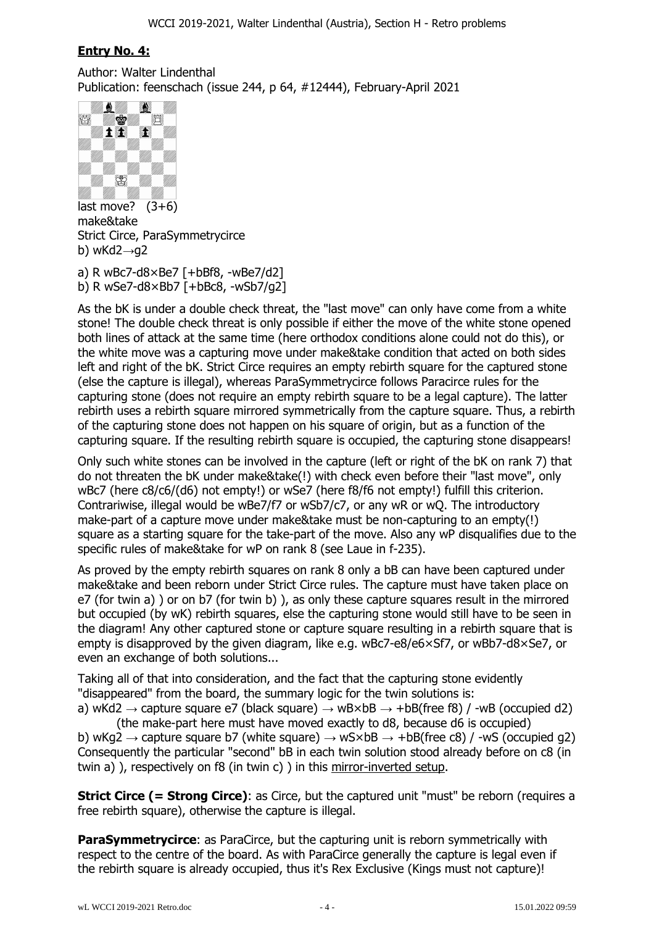## **Entry No. 4:**

Author: Walter Lindenthal Publication: feenschach (issue 244, p 64, #12444), February-April 2021



last move?  $(3+6)$ make&take Strict Circe, ParaSymmetrycirce b) wKd2 $\rightarrow$ q2

a) R wBc7-d8×Be7 [+bBf8, -wBe7/d2] b) R wSe7-d8×Bb7 [+bBc8, -wSb7/g2]

As the bK is under a double check threat, the "last move" can only have come from a white stone! The double check threat is only possible if either the move of the white stone opened both lines of attack at the same time (here orthodox conditions alone could not do this), or the white move was a capturing move under make&take condition that acted on both sides left and right of the bK. Strict Circe requires an empty rebirth square for the captured stone (else the capture is illegal), whereas ParaSymmetrycirce follows Paracirce rules for the capturing stone (does not require an empty rebirth square to be a legal capture). The latter rebirth uses a rebirth square mirrored symmetrically from the capture square. Thus, a rebirth of the capturing stone does not happen on his square of origin, but as a function of the capturing square. If the resulting rebirth square is occupied, the capturing stone disappears!

Only such white stones can be involved in the capture (left or right of the bK on rank 7) that do not threaten the bK under make&take(!) with check even before their "last move", only wBc7 (here c8/c6/(d6) not empty!) or wSe7 (here f8/f6 not empty!) fulfill this criterion. Contrariwise, illegal would be wBe7/f7 or wSb7/c7, or any wR or wQ. The introductory make-part of a capture move under make&take must be non-capturing to an empty(!) square as a starting square for the take-part of the move. Also any wP disqualifies due to the specific rules of make&take for wP on rank 8 (see Laue in f-235).

As proved by the empty rebirth squares on rank 8 only a bB can have been captured under make&take and been reborn under Strict Circe rules. The capture must have taken place on e7 (for twin a) ) or on b7 (for twin b) ), as only these capture squares result in the mirrored but occupied (by wK) rebirth squares, else the capturing stone would still have to be seen in the diagram! Any other captured stone or capture square resulting in a rebirth square that is empty is disapproved by the given diagram, like e.g. wBc7-e8/e6×Sf7, or wBb7-d8×Se7, or even an exchange of both solutions...

Taking all of that into consideration, and the fact that the capturing stone evidently "disappeared" from the board, the summary logic for the twin solutions is: a) wKd2  $\rightarrow$  capture square e7 (black square)  $\rightarrow$  wB×bB  $\rightarrow$  +bB(free f8) / -wB (occupied d2)

 (the make-part here must have moved exactly to d8, because d6 is occupied) b) wKg2  $\rightarrow$  capture square b7 (white square)  $\rightarrow$  wS×bB  $\rightarrow$  +bB(free c8) / -wS (occupied g2) Consequently the particular "second" bB in each twin solution stood already before on c8 (in twin a) ), respectively on f8 (in twin c) ) in this mirror-inverted setup.

**Strict Circe (= Strong Circe)**: as Circe, but the captured unit "must" be reborn (requires a free rebirth square), otherwise the capture is illegal.

**ParaSymmetrycirce:** as ParaCirce, but the capturing unit is reborn symmetrically with respect to the centre of the board. As with ParaCirce generally the capture is legal even if the rebirth square is already occupied, thus it's Rex Exclusive (Kings must not capture)!